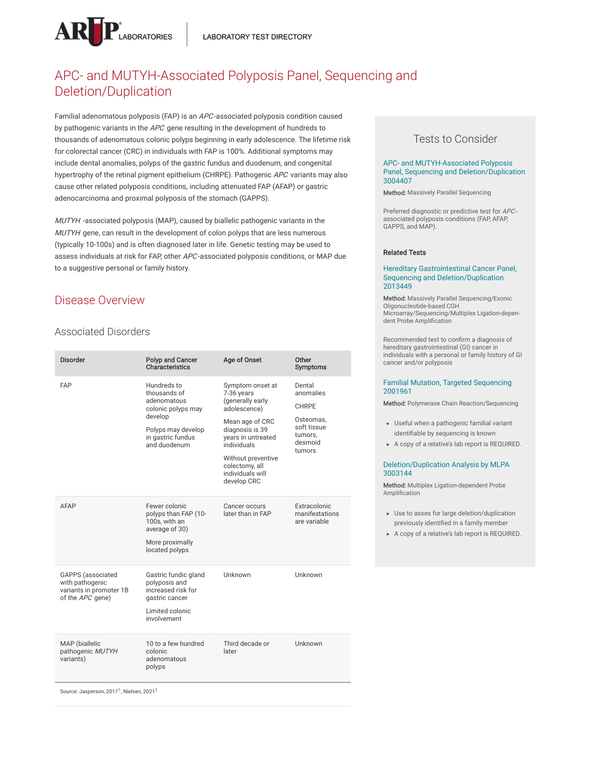

# APC- and MUTYH-Associated Polyposis Panel, Sequencing and Deletion/Duplication

Familial adenomatous polyposis (FAP) is an APC-associated polyposis condition caused by pathogenic variants in the APC gene resulting in the development of hundreds to thousands of adenomatous colonic polyps beginning in early adolescence. The lifetime risk for colorectal cancer (CRC) in individuals with FAP is 100%. Additional symptoms may include dental anomalies, polyps of the gastric fundus and duodenum, and congenital hypertrophy of the retinal pigment epithelium (CHRPE). Pathogenic APC variants may also cause other related polyposis conditions, including attenuated FAP (AFAP) or gastric adenocarcinoma and proximal polyposis of the stomach (GAPPS).

MUTYH -associated polyposis (MAP), caused by biallelic pathogenic variants in the MUTYH gene, can result in the development of colon polyps that are less numerous (typically 10-100s) and is often diagnosed later in life. Genetic testing may be used to assess individuals at risk for FAP, other APC-associated polyposis conditions, or MAP due to a suggestive personal or family history.

# Disease Overview

## Associated Disorders

| <b>Disorder</b>                                                                                                      | Polyp and Cancer<br>Characteristics                                                                                                    | Age of Onset                                                                                                                                                                                                             | Other<br>Symptoms                                                                               |
|----------------------------------------------------------------------------------------------------------------------|----------------------------------------------------------------------------------------------------------------------------------------|--------------------------------------------------------------------------------------------------------------------------------------------------------------------------------------------------------------------------|-------------------------------------------------------------------------------------------------|
| <b>FAP</b>                                                                                                           | Hundreds to<br>thousands of<br>adenomatous<br>colonic polyps may<br>develop<br>Polyps may develop<br>in gastric fundus<br>and duodenum | Symptom onset at<br>7-36 years<br>(generally early<br>adolescence)<br>Mean age of CRC<br>diagnosis is 39<br>years in untreated<br>individuals<br>Without preventive<br>colectomy, all<br>individuals will<br>develop CRC | Dental<br>anomalies<br><b>CHRPE</b><br>Osteomas,<br>soft tissue<br>tumors,<br>desmoid<br>tumors |
| <b>AFAP</b>                                                                                                          | Fewer colonic<br>polyps than FAP (10-<br>100s, with an<br>average of 30)<br>More proximally<br>located polyps                          | Cancer occurs<br>later than in FAP                                                                                                                                                                                       | Extracolonic<br>manifestations<br>are variable                                                  |
| <b>GAPPS</b> (associated<br>with pathogenic<br>variants in promoter 1B<br>of the APC gene)                           | Gastric fundic gland<br>polyposis and<br>increased risk for<br>gastric cancer<br>Limited colonic<br>involvement                        | Unknown                                                                                                                                                                                                                  | Unknown                                                                                         |
| MAP (biallelic<br>pathogenic MUTYH<br>variants)<br>Source: Jasperson, 2017 <sup>1</sup> ; Nielsen, 2021 <sup>2</sup> | 10 to a few hundred<br>colonic<br>adenomatous<br>polyps                                                                                | Third decade or<br>later                                                                                                                                                                                                 | Unknown                                                                                         |

## Tests to Consider

#### APC- and MUTYH-Associated Polyposis Panel, Sequencing and [Deletion/Duplication](https://ltd.aruplab.com/Tests/Pub/3004407) 3004407

Method: Massively Parallel Sequencing

Preferred diagnostic or predictive test for APC associated polyposis conditions (FAP, AFAP, GAPPS, and MAP).

#### Related Tests

#### Hereditary Gastrointestinal Cancer Panel, Sequencing and [Deletion/Duplication](https://ltd.aruplab.com/Tests/Pub/2013449) 2013449

Method: Massively Parallel Sequencing/Exonic Oligonucleotide-based CGH Microarray/Sequencing/Multiplex Ligation-dependent Probe Amplification

Recommended test to confirm a diagnosis of hereditary gastrointestinal (GI) cancer in individuals with a personal or family history of GI cancer and/or polyposis

#### Familial Mutation, Targeted [Sequencing](https://ltd.aruplab.com/Tests/Pub/2001961) 2001961

Method: Polymerase Chain Reaction/Sequencing

- Useful when a pathogenic familial variant identifiable by sequencing is known
- A copy of a relative's lab report is REQUIRED.

#### [Deletion/Duplication](https://ltd.aruplab.com/Tests/Pub/3003144) Analysis by MLPA 3003144

Method: Multiplex Ligation-dependent Probe Amplification

- Use to asses for large deletion/duplication previously identified in a family member
- A copy of a relative's lab report is REQUIRED.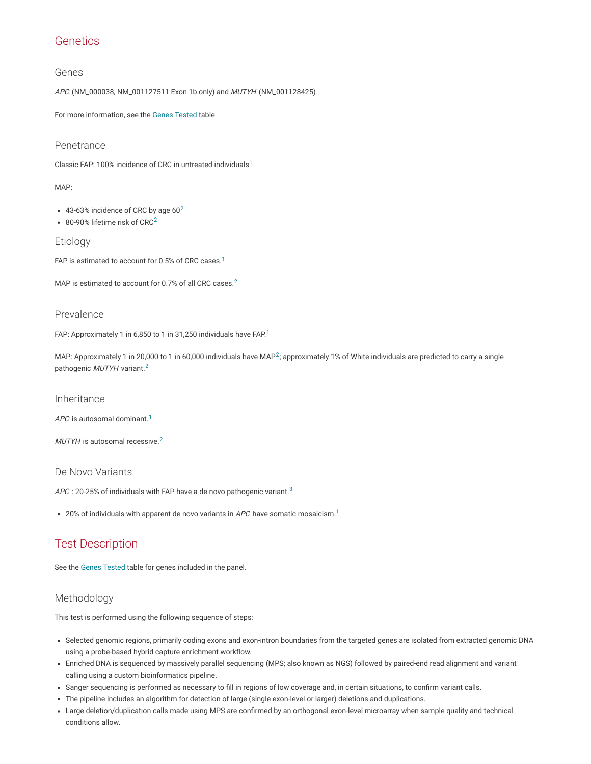# **Genetics**

### Genes

APC (NM\_000038, NM\_001127511 Exon 1b only) and MUTYH (NM\_001128425)

For more information, see the Genes [Tested](#page-3-2) table

### Penetrance

Classic FAP: [1](#page-3-0)00% incidence of CRC in untreated individuals<sup>1</sup>

#### MAP:

- 43-63% incidence of CRC by age  $60^2$  $60^2$
- 80-90% lifetime risk of CRC<sup>[2](#page-3-1)</sup>

### Etiology

FAP is estimated to account for 0.5% of CRC cases. $^1$  $^1$ 

MAP is estimated to account for 0.7% of all CRC cases.<sup>[2](#page-3-1)</sup>

### Prevalence

FAP: Approximately [1](#page-3-0) in 6,850 to 1 in 31,250 individuals have FAP. $1$ 

MAP: Approximately 1 in [2](#page-3-1)0,000 to 1 in 60,000 individuals have MAP<sup>2</sup>; approximately 1% of White individuals are predicted to carry a single pathogenic MUTYH variant.<sup>[2](#page-3-1)</sup>

#### Inheritance

APC is autosomal dominant. $^1$  $^1$ 

 $MUTYH$  is autosomal recessive. $^2$  $^2$ 

### De Novo Variants

APC : 20-25% of individuals with FAP have a de novo pathogenic variant. $^3$  $^3$ 

20% of individuals with apparent de novo variants in APC have somatic mosaicism.<sup>[1](#page-3-0)</sup>

# Test Description

See the Genes [Tested](#page-3-2) table for genes included in the panel.

## Methodology

This test is performed using the following sequence of steps:

- Selected genomic regions, primarily coding exons and exon-intron boundaries from the targeted genes are isolated from extracted genomic DNA using a probe-based hybrid capture enrichment workflow.
- Enriched DNA is sequenced by massively parallel sequencing (MPS; also known as NGS) followed by paired-end read alignment and variant calling using a custom bioinformatics pipeline.
- Sanger sequencing is performed as necessary to fill in regions of low coverage and, in certain situations, to confirm variant calls.
- The pipeline includes an algorithm for detection of large (single exon-level or larger) deletions and duplications.
- Large deletion/duplication calls made using MPS are confirmed by an orthogonal exon-level microarray when sample quality and technical conditions allow.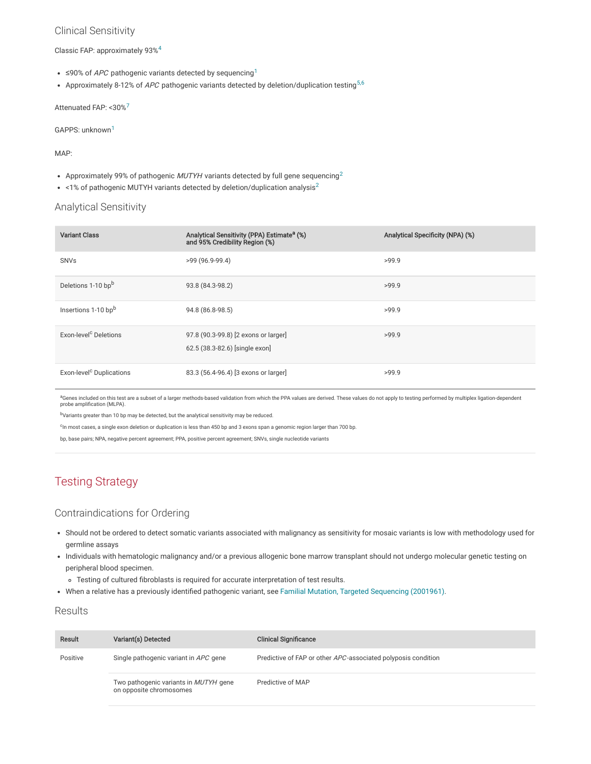### Clinical Sensitivity

Classic FAP: approximately 93% [4](#page-3-4)

- ≤90% of *APC* pathogenic variants detected by sequencing<sup>[1](#page-3-0)</sup>
- Approximately 8-12% of *APC* pathogenic variants detected by deletion/duplication testing<sup>[5](#page-4-0)[,6](#page-4-1)</sup>

Attenuated FAP: <30%<sup>[7](#page-4-2)</sup>

GAPPS: unknown [1](#page-3-0)

MAP:

- Approximately 99% of pathogenic MUTYH variants detected by full gene sequencing<sup>[2](#page-3-1)</sup>
- $\leq$  1% of pathogenic MUTYH variants detected by deletion/duplication analysis<sup>[2](#page-3-1)</sup>

## Analytical Sensitivity

| <b>Variant Class</b>                 | Analytical Sensitivity (PPA) Estimate <sup>a</sup> (%)<br>and 95% Credibility Region (%) | Analytical Specificity (NPA) (%) |
|--------------------------------------|------------------------------------------------------------------------------------------|----------------------------------|
| <b>SNVs</b>                          | $>99(96.9-99.4)$                                                                         | >99.9                            |
| Deletions 1-10 bpb                   | 93.8 (84.3-98.2)                                                                         | >99.9                            |
| Insertions 1-10 bpb                  | 94.8 (86.8-98.5)                                                                         | >99.9                            |
| Exon-level <sup>c</sup> Deletions    | 97.8 (90.3-99.8) [2 exons or larger]<br>62.5 (38.3-82.6) [single exon]                   | >99.9                            |
| Exon-level <sup>c</sup> Duplications | 83.3 (56.4-96.4) [3 exons or larger]                                                     | >99.9                            |

<sup>a</sup>Genes included on this test are a subset of a larger methods-based validation from which the PPA values are derived. These values do not apply to testing performed by multiplex ligation-dependent probe amplification (MLPA).

b<sub>Variants greater than 10 bp may be detected, but the analytical sensitivity may be reduced.</sub>

<sup>c</sup>In most cases, a single exon deletion or duplication is less than 450 bp and 3 exons span a genomic region larger than 700 bp.

bp, base pairs; NPA, negative percent agreement; PPA, positive percent agreement; SNVs, single nucleotide variants

# Testing Strategy

## Contraindications for Ordering

- Should not be ordered to detect somatic variants associated with malignancy as sensitivity for mosaic variants is low with methodology used for germline assays
- Individuals with hematologic malignancy and/or a previous allogenic bone marrow transplant should not undergo molecular genetic testing on peripheral blood specimen.
	- Testing of cultured fibroblasts is required for accurate interpretation of test results.
- When a relative has a previously identified pathogenic variant, see Familial Mutation, Targeted [Sequencing](http://ltd.aruplab.com/Tests/Pub/2001961) (2001961).

## **Results**

| Result   | Variant(s) Detected                                              | <b>Clinical Significance</b>                                  |
|----------|------------------------------------------------------------------|---------------------------------------------------------------|
| Positive | Single pathogenic variant in APC gene                            | Predictive of FAP or other APC-associated polyposis condition |
|          | Two pathogenic variants in MUTYH gene<br>on opposite chromosomes | Predictive of MAP                                             |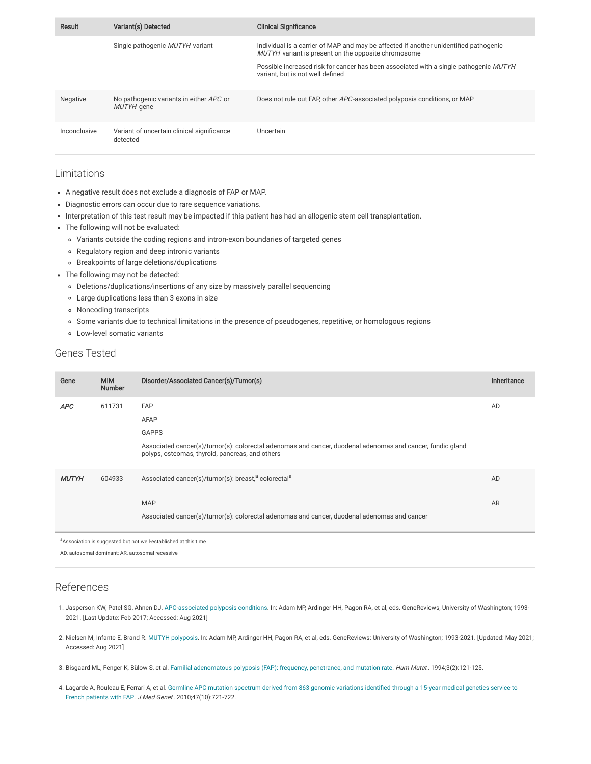| Result       | Variant(s) Detected                                    | <b>Clinical Significance</b>                                                                                                                                                                                                                                              |
|--------------|--------------------------------------------------------|---------------------------------------------------------------------------------------------------------------------------------------------------------------------------------------------------------------------------------------------------------------------------|
|              | Single pathogenic MUTYH variant                        | Individual is a carrier of MAP and may be affected if another unidentified pathogenic<br>MUTYH variant is present on the opposite chromosome<br>Possible increased risk for cancer has been associated with a single pathogenic MUTYH<br>variant, but is not well defined |
| Negative     | No pathogenic variants in either APC or<br>MUTYH gene  | Does not rule out FAP, other APC-associated polyposis conditions, or MAP                                                                                                                                                                                                  |
| Inconclusive | Variant of uncertain clinical significance<br>detected | Uncertain                                                                                                                                                                                                                                                                 |

### Limitations

- A negative result does not exclude a diagnosis of FAP or MAP.
- Diagnostic errors can occur due to rare sequence variations.
- Interpretation of this test result may be impacted if this patient has had an allogenic stem cell transplantation.
- The following will not be evaluated:
	- Variants outside the coding regions and intron-exon boundaries of targeted genes
	- Regulatory region and deep intronic variants
	- Breakpoints of large deletions/duplications
- The following may not be detected:
	- Deletions/duplications/insertions of any size by massively parallel sequencing
	- Large duplications less than 3 exons in size
	- Noncoding transcripts
	- Some variants due to technical limitations in the presence of pseudogenes, repetitive, or homologous regions
	- Low-level somatic variants

## <span id="page-3-2"></span>Genes Tested

| Gene         | <b>MIM</b><br><b>Number</b> | Disorder/Associated Cancer(s)/Tumor(s)                                                                                                          | Inheritance |
|--------------|-----------------------------|-------------------------------------------------------------------------------------------------------------------------------------------------|-------------|
| <b>APC</b>   | 611731                      | <b>FAP</b><br>AFAP<br><b>GAPPS</b><br>Associated cancer(s)/tumor(s): colorectal adenomas and cancer, duodenal adenomas and cancer, fundic gland | AD          |
|              |                             | polyps, osteomas, thyroid, pancreas, and others                                                                                                 |             |
| <b>MUTYH</b> | 604933                      | Associated cancer(s)/tumor(s): breast, <sup>a</sup> colorectal <sup>a</sup>                                                                     | AD          |
|              |                             | <b>MAP</b><br>Associated cancer(s)/tumor(s): colorectal adenomas and cancer, duodenal adenomas and cancer                                       | AR          |

a Association is suggested but not well-established at this time.

AD, autosomal dominant; AR, autosomal recessive

## References

- <span id="page-3-0"></span>1. Jasperson KW, Patel SG, Ahnen DJ. [APC-associated](https://www.ncbi.nlm.nih.gov/books/NBK1345/) polyposis conditions. In: Adam MP, Ardinger HH, Pagon RA, et al, eds. GeneReviews, University of Washington; 1993- 2021. [Last Update: Feb 2017; Accessed: Aug 2021]
- <span id="page-3-1"></span>2. Nielsen M, Infante E, Brand R. MUTYH [polyposis.](https://www.ncbi.nlm.nih.gov/books/NBK107219/) In: Adam MP, Ardinger HH, Pagon RA, et al, eds. GeneReviews: University of Washington; 1993-2021. [Updated: May 2021; Accessed: Aug 2021]
- <span id="page-3-3"></span>3. Bisgaard ML, Fenger K, Bülow S, et al. Familial [adenomatous](https://pubmed.ncbi.nlm.nih.gov/8199592/) polyposis (FAP): frequency, penetrance, and mutation rate. Hum Mutat. 1994;3(2):121-125.
- <span id="page-3-4"></span>4. Lagarde A, Rouleau E, Ferrari A, et al. Germline APC mutation spectrum derived from 863 genomic variations identified through a 15-year medical genetics service to French patients with FAP. J Med Genet . [2010;47\(10\):721-722.](https://www.ncbi.nlm.nih.gov/pubmed/20685668)